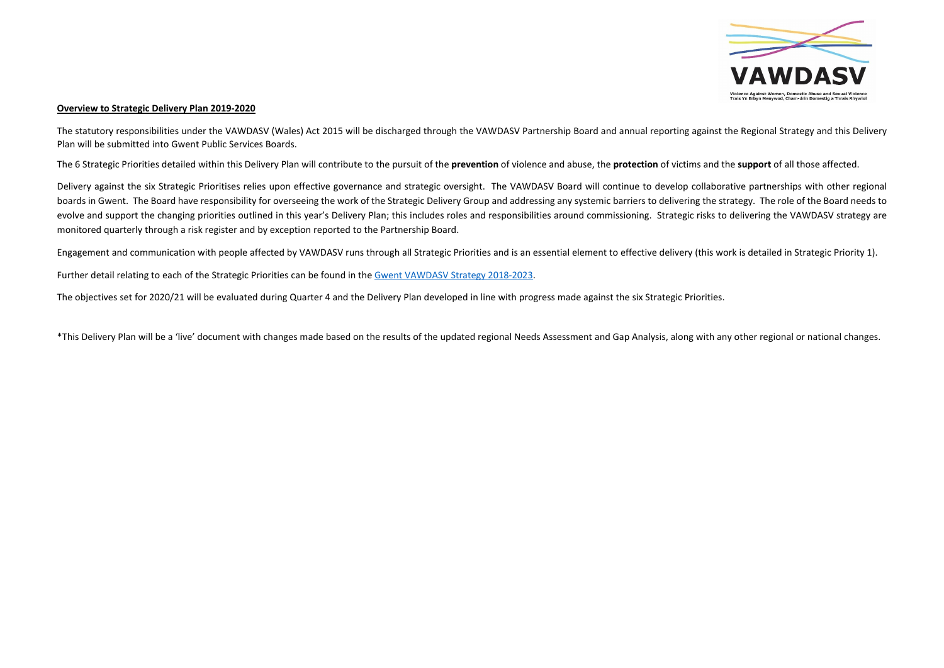#### **Overview to Strategic Delivery Plan 2019-2020**

The statutory responsibilities under the VAWDASV (Wales) Act 2015 will be discharged through the VAWDASV Partnership Board and annual reporting against the Regional Strategy and this Delivery Plan will be submitted into Gwent Public Services Boards.

The 6 Strategic Priorities detailed within this Delivery Plan will contribute to the pursuit of the **prevention** of violence and abuse, the **protection** of victims and the **support** of all those affected.

Delivery against the six Strategic Prioritises relies upon effective governance and strategic oversight. The VAWDASV Board will continue to develop collaborative partnerships with other regional boards in Gwent. The Board have responsibility for overseeing the work of the Strategic Delivery Group and addressing any systemic barriers to delivering the strategy. The role of the Board needs to evolve and support the changing priorities outlined in this year's Delivery Plan; this includes roles and responsibilities around commissioning. Strategic risks to delivering the VAWDASV strategy are monitored quarterly through a risk register and by exception reported to the Partnership Board.

Engagement and communication with people affected by VAWDASV runs through all Strategic Priorities and is an essential element to effective delivery (this work is detailed in Strategic Priority 1).

Further detail relating to each of the Strategic Priorities can be found in the Gwent VAWDASV Strategy [2018-2023](https://www.gwentsafeguarding.org.uk/Documents-en/VAWDASV/Gwent-VAWDASV-Strategy.pdf).

The objectives set for 2020/21 will be evaluated during Quarter 4 and the Delivery Plan developed in line with progress made against the six Strategic Priorities.

\*This Delivery Plan will be a 'live' document with changes made based on the results of the updated regional Needs Assessment and Gap Analysis, along with any other regional or national changes.

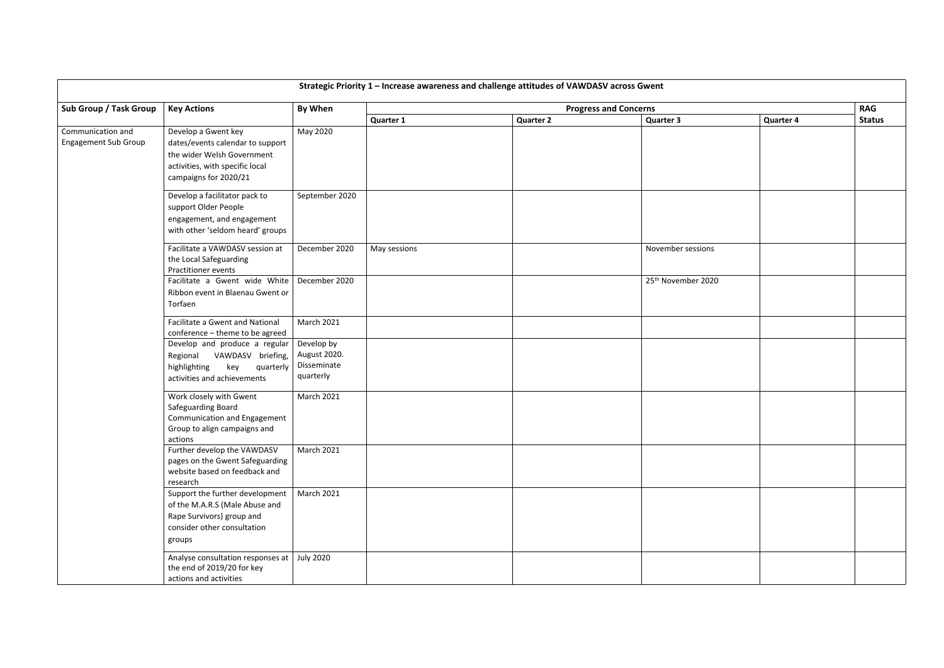| Strategic Priority 1 - Increase awareness and challenge attitudes of VAWDASV across Gwent |                                                                                                                                                   |                                                        |              |                              |                    |                  |               |  |  |
|-------------------------------------------------------------------------------------------|---------------------------------------------------------------------------------------------------------------------------------------------------|--------------------------------------------------------|--------------|------------------------------|--------------------|------------------|---------------|--|--|
| Sub Group / Task Group                                                                    | <b>Key Actions</b>                                                                                                                                | <b>By When</b>                                         |              | <b>Progress and Concerns</b> |                    |                  | <b>RAG</b>    |  |  |
|                                                                                           |                                                                                                                                                   |                                                        | Quarter 1    | <b>Quarter 2</b>             | <b>Quarter 3</b>   | <b>Quarter 4</b> | <b>Status</b> |  |  |
| Communication and<br><b>Engagement Sub Group</b>                                          | Develop a Gwent key<br>dates/events calendar to support<br>the wider Welsh Government<br>activities, with specific local<br>campaigns for 2020/21 | May 2020                                               |              |                              |                    |                  |               |  |  |
|                                                                                           | Develop a facilitator pack to<br>support Older People<br>engagement, and engagement<br>with other 'seldom heard' groups                           | September 2020                                         |              |                              |                    |                  |               |  |  |
|                                                                                           | Facilitate a VAWDASV session at<br>the Local Safeguarding<br>Practitioner events                                                                  | December 2020                                          | May sessions |                              | November sessions  |                  |               |  |  |
|                                                                                           | Facilitate a Gwent wide White   December 2020<br>Ribbon event in Blaenau Gwent or<br>Torfaen                                                      |                                                        |              |                              | 25th November 2020 |                  |               |  |  |
|                                                                                           | Facilitate a Gwent and National<br>conference - theme to be agreed                                                                                | <b>March 2021</b>                                      |              |                              |                    |                  |               |  |  |
|                                                                                           | Develop and produce a regular<br>VAWDASV briefing,<br>Regional<br>highlighting<br>key<br>quarterly<br>activities and achievements                 | Develop by<br>August 2020.<br>Disseminate<br>quarterly |              |                              |                    |                  |               |  |  |
|                                                                                           | Work closely with Gwent<br>Safeguarding Board<br>Communication and Engagement<br>Group to align campaigns and<br>actions                          | <b>March 2021</b>                                      |              |                              |                    |                  |               |  |  |
|                                                                                           | Further develop the VAWDASV<br>pages on the Gwent Safeguarding<br>website based on feedback and<br>research                                       | <b>March 2021</b>                                      |              |                              |                    |                  |               |  |  |
|                                                                                           | Support the further development<br>of the M.A.R.S (Male Abuse and<br>Rape Survivors) group and<br>consider other consultation<br>groups           | March 2021                                             |              |                              |                    |                  |               |  |  |
|                                                                                           | Analyse consultation responses at<br>the end of 2019/20 for key<br>actions and activities                                                         | July 2020                                              |              |                              |                    |                  |               |  |  |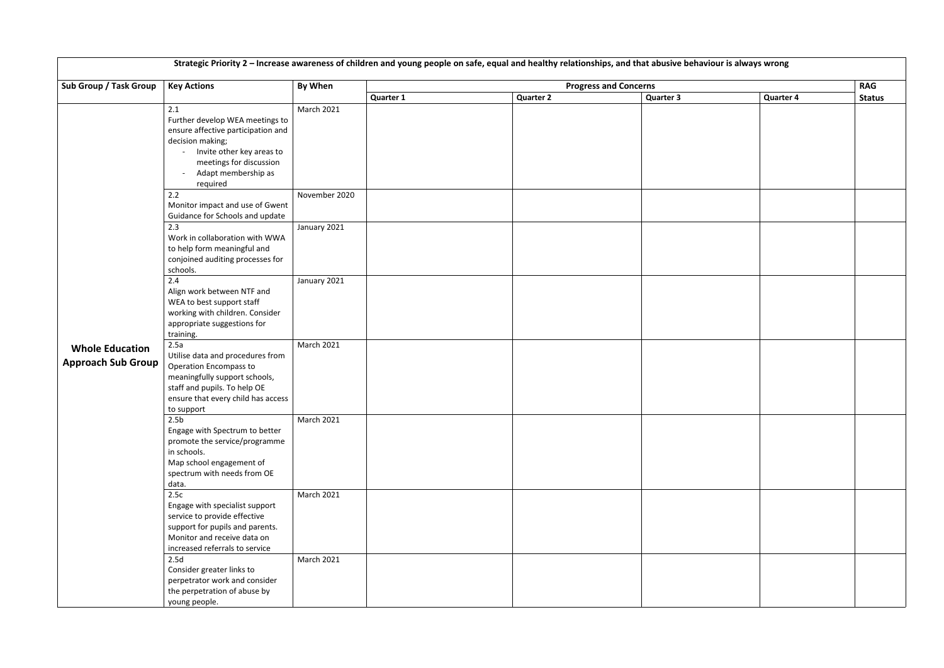| Strategic Priority 2 - Increase awareness of children and young people on safe, equal and healthy relationships, and that abusive behaviour is always wrong |                                                                                                                                                                                                |                   |                  |                  |                              |                  |               |  |  |
|-------------------------------------------------------------------------------------------------------------------------------------------------------------|------------------------------------------------------------------------------------------------------------------------------------------------------------------------------------------------|-------------------|------------------|------------------|------------------------------|------------------|---------------|--|--|
| Sub Group / Task Group                                                                                                                                      | <b>Key Actions</b>                                                                                                                                                                             | By When           |                  |                  | <b>Progress and Concerns</b> |                  | <b>RAG</b>    |  |  |
|                                                                                                                                                             |                                                                                                                                                                                                |                   | <b>Quarter 1</b> | <b>Quarter 2</b> | <b>Quarter 3</b>             | <b>Quarter 4</b> | <b>Status</b> |  |  |
|                                                                                                                                                             | 2.1<br>Further develop WEA meetings to<br>ensure affective participation and<br>decision making;<br>- Invite other key areas to<br>meetings for discussion<br>Adapt membership as<br>required  | March 2021        |                  |                  |                              |                  |               |  |  |
|                                                                                                                                                             | 2.2<br>Monitor impact and use of Gwent<br>Guidance for Schools and update                                                                                                                      | November 2020     |                  |                  |                              |                  |               |  |  |
| <b>Whole Education</b><br><b>Approach Sub Group</b>                                                                                                         | 2.3<br>Work in collaboration with WWA<br>to help form meaningful and<br>conjoined auditing processes for<br>schools.                                                                           | January 2021      |                  |                  |                              |                  |               |  |  |
|                                                                                                                                                             | 2.4<br>Align work between NTF and<br>WEA to best support staff<br>working with children. Consider<br>appropriate suggestions for<br>training.                                                  | January 2021      |                  |                  |                              |                  |               |  |  |
|                                                                                                                                                             | 2.5a<br>Utilise data and procedures from<br><b>Operation Encompass to</b><br>meaningfully support schools,<br>staff and pupils. To help OE<br>ensure that every child has access<br>to support | <b>March 2021</b> |                  |                  |                              |                  |               |  |  |
|                                                                                                                                                             | 2.5 <sub>b</sub><br>Engage with Spectrum to better<br>promote the service/programme<br>in schools.<br>Map school engagement of<br>spectrum with needs from OE<br>data.                         | <b>March 2021</b> |                  |                  |                              |                  |               |  |  |
|                                                                                                                                                             | 2.5c<br>Engage with specialist support<br>service to provide effective<br>support for pupils and parents.<br>Monitor and receive data on<br>increased referrals to service                     | <b>March 2021</b> |                  |                  |                              |                  |               |  |  |
|                                                                                                                                                             | 2.5d<br>Consider greater links to<br>perpetrator work and consider<br>the perpetration of abuse by<br>young people.                                                                            | <b>March 2021</b> |                  |                  |                              |                  |               |  |  |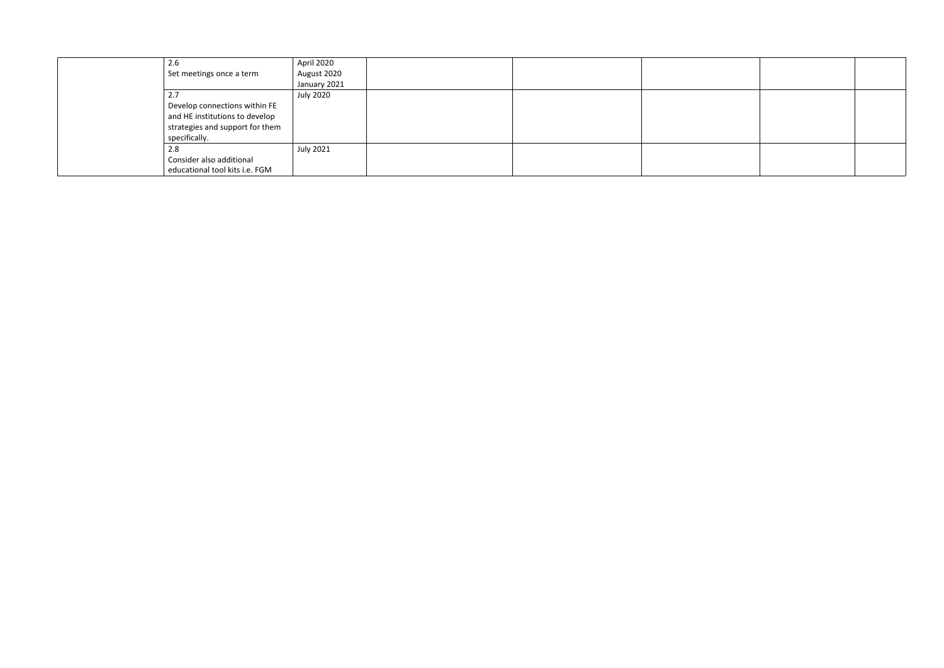| 2.6                             | April 2020       |  |  |
|---------------------------------|------------------|--|--|
| Set meetings once a term        | August 2020      |  |  |
|                                 | January 2021     |  |  |
| 2.7                             | <b>July 2020</b> |  |  |
| Develop connections within FE   |                  |  |  |
| and HE institutions to develop  |                  |  |  |
| strategies and support for them |                  |  |  |
| specifically.                   |                  |  |  |
| 2.8                             | July 2021        |  |  |
| Consider also additional        |                  |  |  |
| educational tool kits i.e. FGM  |                  |  |  |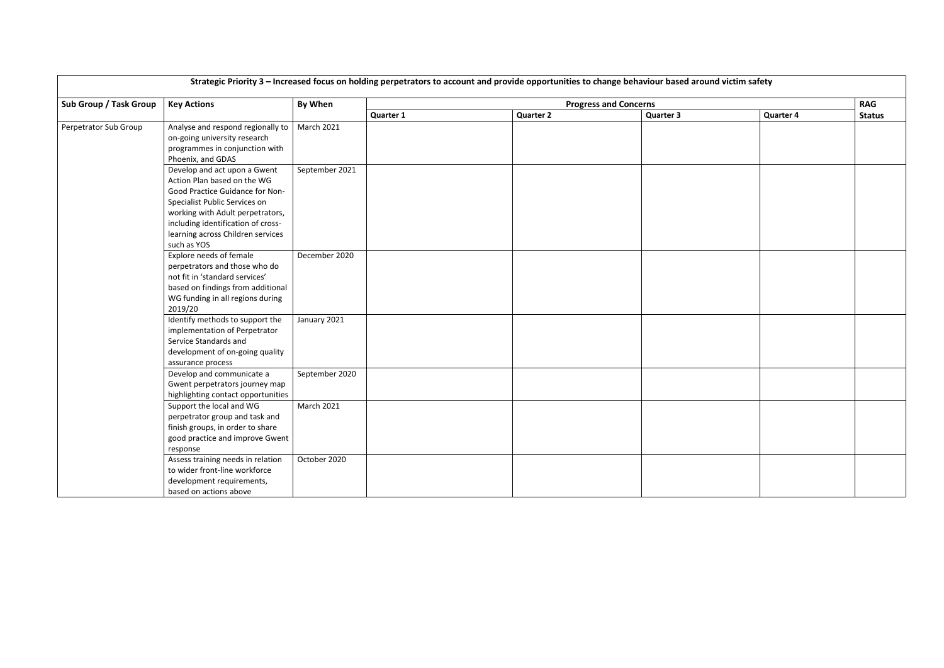|                        | Strategic Priority 3 - Increased focus on holding perpetrators to account and provide opportunities to change behaviour based around victim safety                                                                                                            |                   |                  |                  |                              |                  |               |  |  |
|------------------------|---------------------------------------------------------------------------------------------------------------------------------------------------------------------------------------------------------------------------------------------------------------|-------------------|------------------|------------------|------------------------------|------------------|---------------|--|--|
| Sub Group / Task Group | <b>Key Actions</b>                                                                                                                                                                                                                                            | <b>By When</b>    |                  |                  | <b>Progress and Concerns</b> |                  | <b>RAG</b>    |  |  |
|                        |                                                                                                                                                                                                                                                               |                   | <b>Quarter 1</b> | <b>Quarter 2</b> | <b>Quarter 3</b>             | <b>Quarter 4</b> | <b>Status</b> |  |  |
| Perpetrator Sub Group  | Analyse and respond regionally to<br>on-going university research<br>programmes in conjunction with<br>Phoenix, and GDAS                                                                                                                                      | <b>March 2021</b> |                  |                  |                              |                  |               |  |  |
|                        | Develop and act upon a Gwent<br>Action Plan based on the WG<br>Good Practice Guidance for Non-<br>Specialist Public Services on<br>working with Adult perpetrators,<br>including identification of cross-<br>learning across Children services<br>such as YOS | September 2021    |                  |                  |                              |                  |               |  |  |
|                        | Explore needs of female<br>perpetrators and those who do<br>not fit in 'standard services'<br>based on findings from additional<br>WG funding in all regions during<br>2019/20                                                                                | December 2020     |                  |                  |                              |                  |               |  |  |
|                        | Identify methods to support the<br>implementation of Perpetrator<br>Service Standards and<br>development of on-going quality<br>assurance process                                                                                                             | January 2021      |                  |                  |                              |                  |               |  |  |
|                        | Develop and communicate a<br>Gwent perpetrators journey map<br>highlighting contact opportunities                                                                                                                                                             | September 2020    |                  |                  |                              |                  |               |  |  |
|                        | Support the local and WG<br>perpetrator group and task and<br>finish groups, in order to share<br>good practice and improve Gwent<br>response                                                                                                                 | March 2021        |                  |                  |                              |                  |               |  |  |
|                        | Assess training needs in relation<br>to wider front-line workforce<br>development requirements,<br>based on actions above                                                                                                                                     | October 2020      |                  |                  |                              |                  |               |  |  |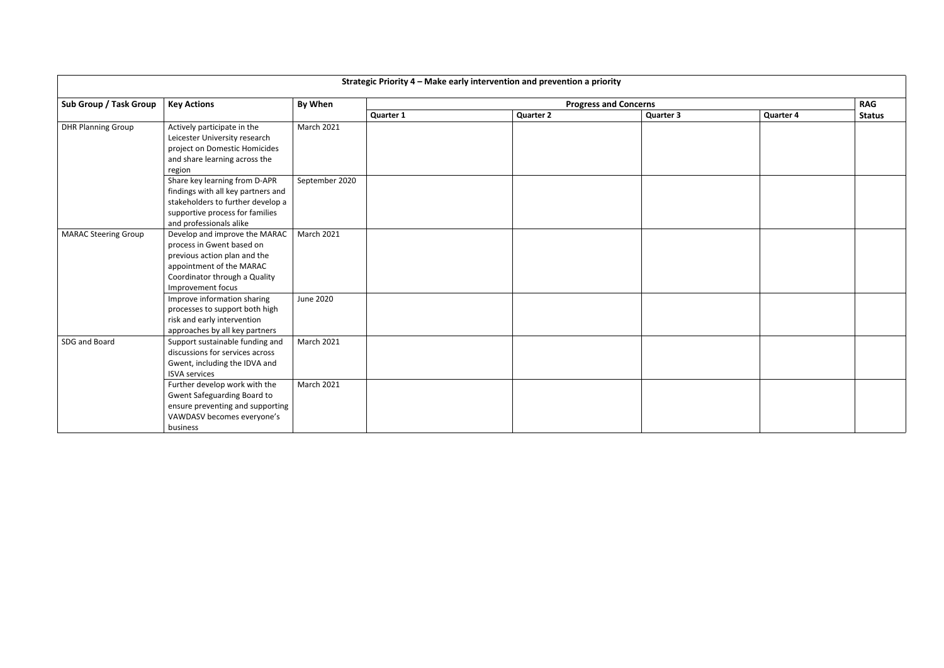| Strategic Priority 4 - Make early intervention and prevention a priority |                                                                                                                                                                              |                   |                              |                  |                  |                  |               |  |  |
|--------------------------------------------------------------------------|------------------------------------------------------------------------------------------------------------------------------------------------------------------------------|-------------------|------------------------------|------------------|------------------|------------------|---------------|--|--|
| Sub Group / Task Group                                                   | <b>Key Actions</b>                                                                                                                                                           | <b>By When</b>    | <b>Progress and Concerns</b> |                  |                  |                  |               |  |  |
|                                                                          |                                                                                                                                                                              |                   | <b>Quarter 1</b>             | <b>Quarter 2</b> | <b>Quarter 3</b> | <b>Quarter 4</b> | <b>Status</b> |  |  |
| <b>DHR Planning Group</b>                                                | Actively participate in the<br>Leicester University research<br>project on Domestic Homicides<br>and share learning across the<br>region                                     | <b>March 2021</b> |                              |                  |                  |                  |               |  |  |
|                                                                          | Share key learning from D-APR<br>findings with all key partners and<br>stakeholders to further develop a<br>supportive process for families<br>and professionals alike       | September 2020    |                              |                  |                  |                  |               |  |  |
| <b>MARAC Steering Group</b>                                              | Develop and improve the MARAC<br>process in Gwent based on<br>previous action plan and the<br>appointment of the MARAC<br>Coordinator through a Quality<br>Improvement focus | <b>March 2021</b> |                              |                  |                  |                  |               |  |  |
|                                                                          | Improve information sharing<br>processes to support both high<br>risk and early intervention<br>approaches by all key partners                                               | June 2020         |                              |                  |                  |                  |               |  |  |
| SDG and Board                                                            | Support sustainable funding and<br>discussions for services across<br>Gwent, including the IDVA and<br><b>ISVA services</b>                                                  | <b>March 2021</b> |                              |                  |                  |                  |               |  |  |
|                                                                          | Further develop work with the<br>Gwent Safeguarding Board to<br>ensure preventing and supporting<br>VAWDASV becomes everyone's<br>business                                   | <b>March 2021</b> |                              |                  |                  |                  |               |  |  |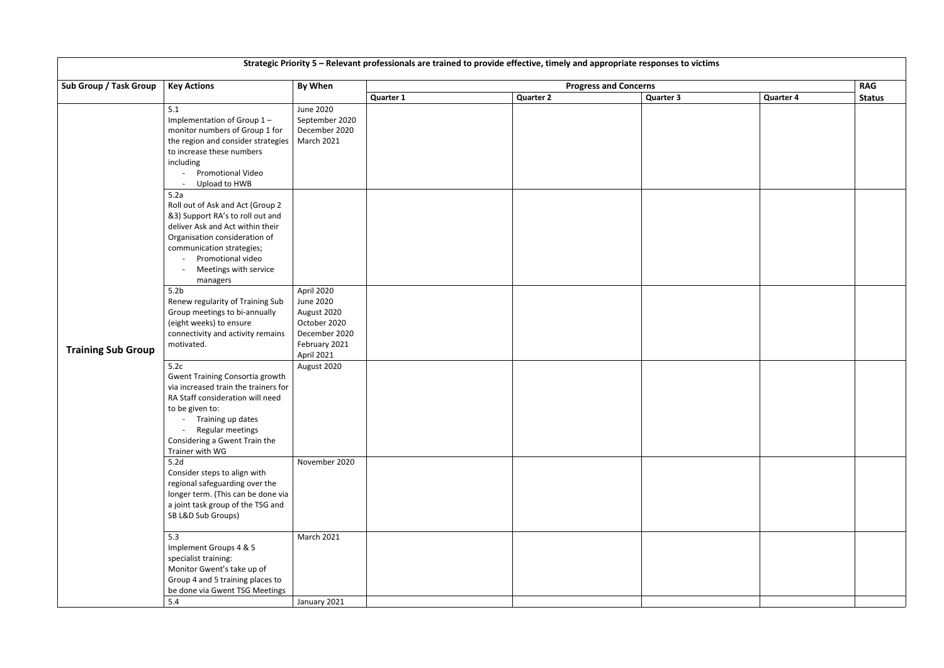| Strategic Priority 5 - Relevant professionals are trained to provide effective, timely and appropriate responses to victims |                                                                                                                                                                                                                                            |                                                                                                        |                              |                  |  |                  |                  |               |  |
|-----------------------------------------------------------------------------------------------------------------------------|--------------------------------------------------------------------------------------------------------------------------------------------------------------------------------------------------------------------------------------------|--------------------------------------------------------------------------------------------------------|------------------------------|------------------|--|------------------|------------------|---------------|--|
| Sub Group / Task Group                                                                                                      | <b>Key Actions</b>                                                                                                                                                                                                                         | <b>By When</b>                                                                                         | <b>Progress and Concerns</b> |                  |  |                  |                  |               |  |
|                                                                                                                             |                                                                                                                                                                                                                                            |                                                                                                        | <b>Quarter 1</b>             | <b>Quarter 2</b> |  | <b>Quarter 3</b> | <b>Quarter 4</b> | <b>Status</b> |  |
| <b>Training Sub Group</b>                                                                                                   | 5.1<br>Implementation of Group 1-<br>monitor numbers of Group 1 for<br>the region and consider strategies<br>to increase these numbers<br>including<br>Promotional Video<br>Upload to HWB                                                  | <b>June 2020</b><br>September 2020<br>December 2020<br>March 2021                                      |                              |                  |  |                  |                  |               |  |
|                                                                                                                             | 5.2a<br>Roll out of Ask and Act (Group 2<br>&3) Support RA's to roll out and<br>deliver Ask and Act within their<br>Organisation consideration of<br>communication strategies;<br>Promotional video<br>Meetings with service<br>managers   |                                                                                                        |                              |                  |  |                  |                  |               |  |
|                                                                                                                             | 5.2 <sub>b</sub><br>Renew regularity of Training Sub<br>Group meetings to bi-annually<br>(eight weeks) to ensure<br>connectivity and activity remains<br>motivated.                                                                        | April 2020<br>June 2020<br>August 2020<br>October 2020<br>December 2020<br>February 2021<br>April 2021 |                              |                  |  |                  |                  |               |  |
|                                                                                                                             | 5.2c<br><b>Gwent Training Consortia growth</b><br>via increased train the trainers for<br>RA Staff consideration will need<br>to be given to:<br>Training up dates<br>Regular meetings<br>Considering a Gwent Train the<br>Trainer with WG | August 2020                                                                                            |                              |                  |  |                  |                  |               |  |
|                                                                                                                             | 5.2 <sub>d</sub><br>Consider steps to align with<br>regional safeguarding over the<br>longer term. (This can be done via<br>a joint task group of the TSG and<br>SB L&D Sub Groups)                                                        | November 2020                                                                                          |                              |                  |  |                  |                  |               |  |
|                                                                                                                             | 5.3<br>Implement Groups 4 & 5<br>specialist training:<br>Monitor Gwent's take up of<br>Group 4 and 5 training places to<br>be done via Gwent TSG Meetings                                                                                  | <b>March 2021</b>                                                                                      |                              |                  |  |                  |                  |               |  |
|                                                                                                                             | 5.4                                                                                                                                                                                                                                        | January 2021                                                                                           |                              |                  |  |                  |                  |               |  |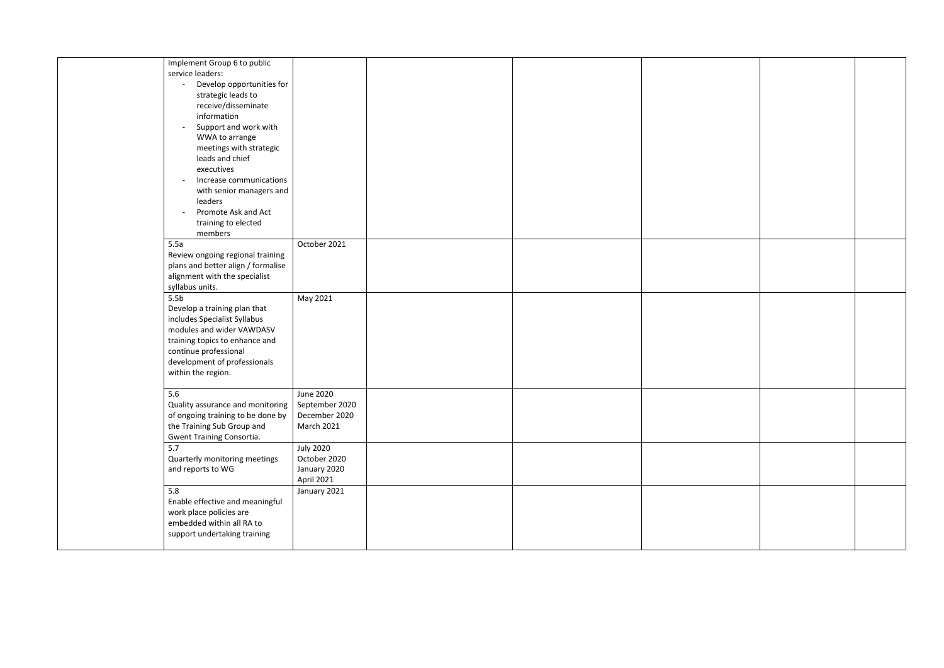| Implement Group 6 to public                       |                   |  |  |  |
|---------------------------------------------------|-------------------|--|--|--|
| service leaders:                                  |                   |  |  |  |
| Develop opportunities for                         |                   |  |  |  |
| strategic leads to                                |                   |  |  |  |
| receive/disseminate<br>information                |                   |  |  |  |
|                                                   |                   |  |  |  |
| Support and work with<br>WWA to arrange           |                   |  |  |  |
|                                                   |                   |  |  |  |
| meetings with strategic<br>leads and chief        |                   |  |  |  |
| executives                                        |                   |  |  |  |
| Increase communications                           |                   |  |  |  |
| with senior managers and                          |                   |  |  |  |
| leaders                                           |                   |  |  |  |
| Promote Ask and Act                               |                   |  |  |  |
| training to elected                               |                   |  |  |  |
| members                                           |                   |  |  |  |
| 5.5a                                              | October 2021      |  |  |  |
| Review ongoing regional training                  |                   |  |  |  |
| plans and better align / formalise                |                   |  |  |  |
| alignment with the specialist                     |                   |  |  |  |
| syllabus units.                                   |                   |  |  |  |
| 5.5 <sub>b</sub>                                  | May 2021          |  |  |  |
| Develop a training plan that                      |                   |  |  |  |
| includes Specialist Syllabus                      |                   |  |  |  |
| modules and wider VAWDASV                         |                   |  |  |  |
| training topics to enhance and                    |                   |  |  |  |
| continue professional                             |                   |  |  |  |
| development of professionals                      |                   |  |  |  |
| within the region.                                |                   |  |  |  |
|                                                   |                   |  |  |  |
| 5.6                                               | <b>June 2020</b>  |  |  |  |
| Quality assurance and monitoring   September 2020 |                   |  |  |  |
| of ongoing training to be done by                 | December 2020     |  |  |  |
| the Training Sub Group and                        | <b>March 2021</b> |  |  |  |
| Gwent Training Consortia.                         |                   |  |  |  |
| 5.7                                               | <b>July 2020</b>  |  |  |  |
| Quarterly monitoring meetings                     | October 2020      |  |  |  |
| and reports to WG                                 | January 2020      |  |  |  |
|                                                   | April 2021        |  |  |  |
| 5.8                                               | January 2021      |  |  |  |
| Enable effective and meaningful                   |                   |  |  |  |
| work place policies are                           |                   |  |  |  |
| embedded within all RA to                         |                   |  |  |  |
| support undertaking training                      |                   |  |  |  |
|                                                   |                   |  |  |  |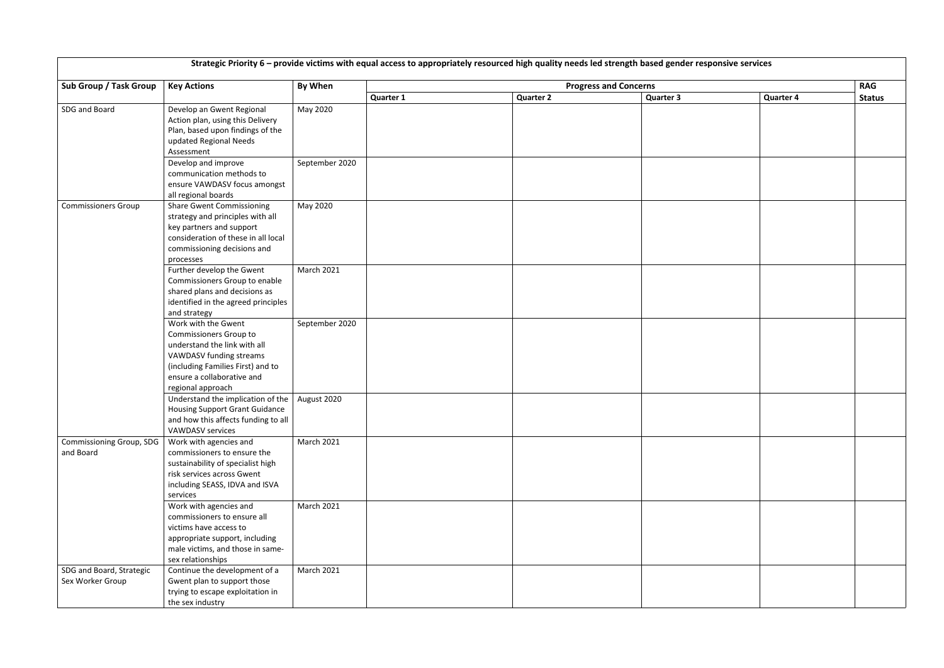| Strategic Priority 6 - provide victims with equal access to appropriately resourced high quality needs led strength based gender responsive services |                                                                                                                                                                                                         |                   |                              |                  |                  |                  |               |  |
|------------------------------------------------------------------------------------------------------------------------------------------------------|---------------------------------------------------------------------------------------------------------------------------------------------------------------------------------------------------------|-------------------|------------------------------|------------------|------------------|------------------|---------------|--|
| Sub Group / Task Group                                                                                                                               | <b>Key Actions</b>                                                                                                                                                                                      | By When           | <b>Progress and Concerns</b> |                  |                  |                  |               |  |
|                                                                                                                                                      |                                                                                                                                                                                                         |                   | <b>Quarter 1</b>             | <b>Quarter 2</b> | <b>Quarter 3</b> | <b>Quarter 4</b> | <b>Status</b> |  |
| SDG and Board                                                                                                                                        | Develop an Gwent Regional<br>Action plan, using this Delivery<br>Plan, based upon findings of the<br>updated Regional Needs<br>Assessment                                                               | May 2020          |                              |                  |                  |                  |               |  |
|                                                                                                                                                      | Develop and improve<br>communication methods to<br>ensure VAWDASV focus amongst<br>all regional boards                                                                                                  | September 2020    |                              |                  |                  |                  |               |  |
| <b>Commissioners Group</b>                                                                                                                           | <b>Share Gwent Commissioning</b><br>strategy and principles with all<br>key partners and support<br>consideration of these in all local<br>commissioning decisions and<br>processes                     | May 2020          |                              |                  |                  |                  |               |  |
|                                                                                                                                                      | Further develop the Gwent<br>Commissioners Group to enable<br>shared plans and decisions as<br>identified in the agreed principles<br>and strategy                                                      | <b>March 2021</b> |                              |                  |                  |                  |               |  |
|                                                                                                                                                      | Work with the Gwent<br><b>Commissioners Group to</b><br>understand the link with all<br>VAWDASV funding streams<br>(including Families First) and to<br>ensure a collaborative and<br>regional approach | September 2020    |                              |                  |                  |                  |               |  |
|                                                                                                                                                      | Understand the implication of the $ $<br><b>Housing Support Grant Guidance</b><br>and how this affects funding to all<br><b>VAWDASV services</b>                                                        | August 2020       |                              |                  |                  |                  |               |  |
| <b>Commissioning Group, SDG</b><br>and Board                                                                                                         | Work with agencies and<br>commissioners to ensure the<br>sustainability of specialist high<br>risk services across Gwent<br>including SEASS, IDVA and ISVA<br>services                                  | <b>March 2021</b> |                              |                  |                  |                  |               |  |
|                                                                                                                                                      | Work with agencies and<br>commissioners to ensure all<br>victims have access to<br>appropriate support, including<br>male victims, and those in same-<br>sex relationships                              | <b>March 2021</b> |                              |                  |                  |                  |               |  |
| SDG and Board, Strategic<br>Sex Worker Group                                                                                                         | Continue the development of a<br>Gwent plan to support those<br>trying to escape exploitation in<br>the sex industry                                                                                    | <b>March 2021</b> |                              |                  |                  |                  |               |  |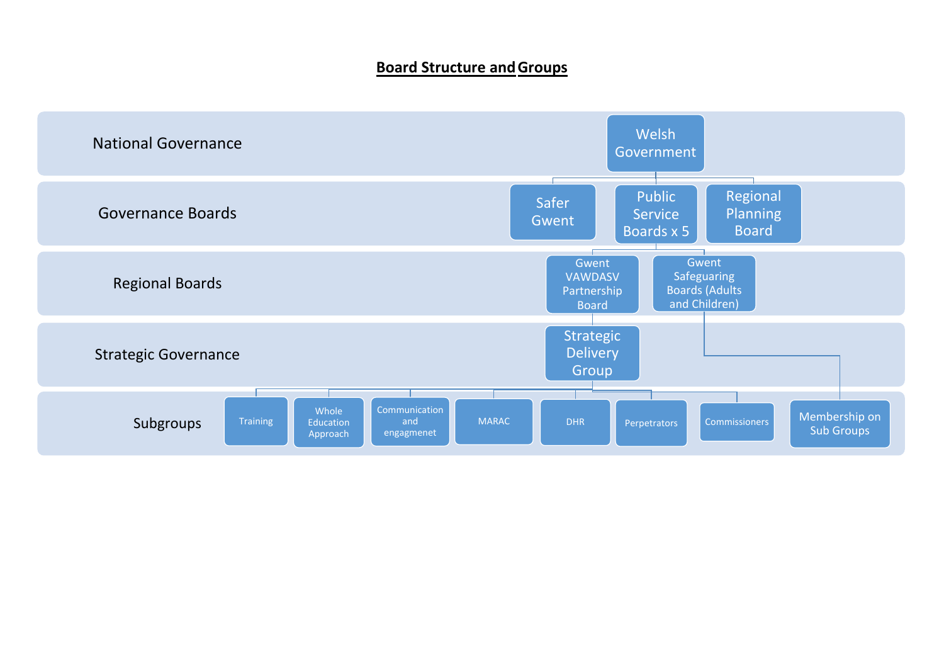#### **Board Structure and Groups**